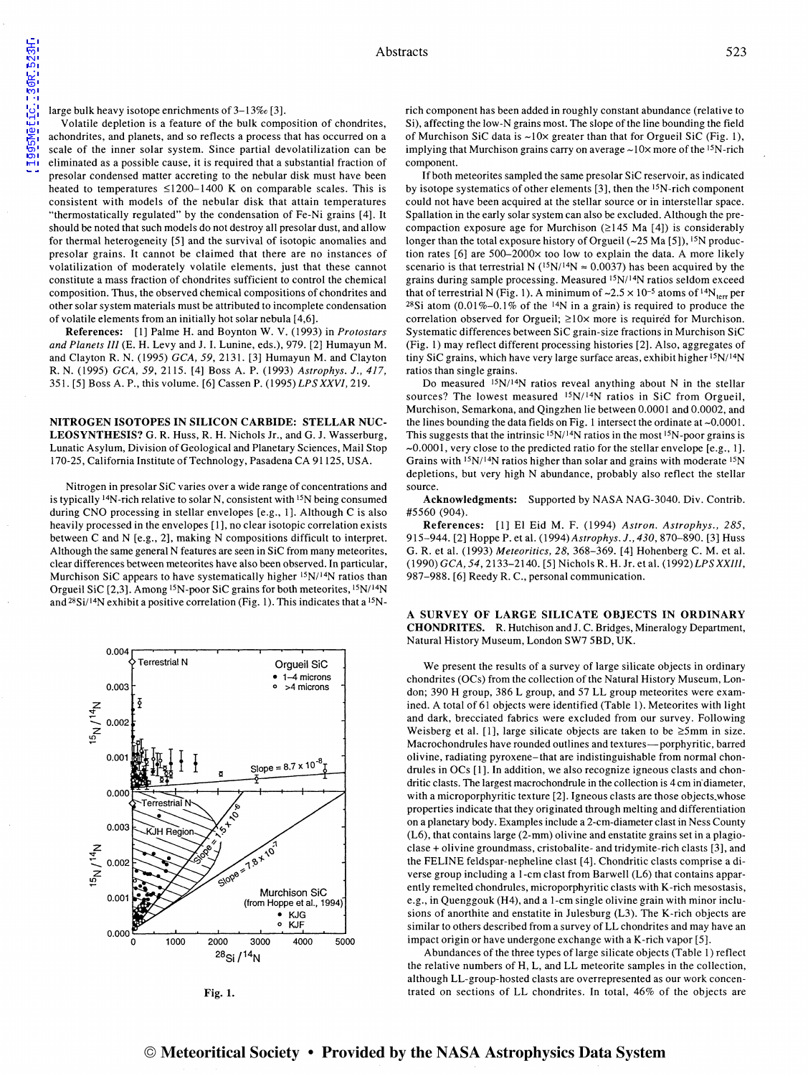large bulk heavy isotope enrichments of  $3-13\%$  [3].

Volatile depletion is a feature of the bulk composition of chondrites, achondrites, and planets, and so reflects a process that has occurred on a scale of the inner solar system. Since partial devolatilization can be eliminated as a possible cause, it is required that a substantial fraction of presolar condensed matter accreting to the nebular disk must have been heated to temperatures  $\leq 1200-1400$  K on comparable scales. This is consistent with models of the nebular disk that attain temperatures "thermostatically regulated" by the condensation of Fe-Ni grains [ 4]. It should be noted that such models do not destroy all presolar dust, and allow for thermal heterogeneity [5] and the survival of isotopic anomalies and presolar grains. It cannot be claimed that there are no instances of volatilization of moderately volatile elements, just that these cannot constitute a mass fraction of chondrites sufficient to control the chemical composition. Thus, the observed chemical compositions of chondrites and other solar system materials must be attributed to incomplete condensation of volatile elements from an initially hot solar nebula [ 4,6].

References: [I] Palme H. and Boynton W. V. (1993) in *Protostars and Planets III* (E. H. Levy and J. I. Lunine, eds.), 979. [2] Humayun M. and Clayton R.N. (1995) *GCA,* 59, 2131. [3] Humayun M. and Clayton R.N. (1995) *GCA,* 59,2115. [4] Boss A. P. (1993) *Astrophys.* J., 417, 351. [5] Boss A. P., this volume. [6] Cas sen P. ( 1995) *LPS XXVI,* 219.

NITROGEN ISOTOPES IN SILICON CARBIDE: STELLAR NUC-LEOSYNTHESIS? G. R. Huss, R. H. Nichols Jr., and G. J. Wasserburg, Lunatic Asylum, Division of Geological and Planetary Sciences, Mail Stop 170-25, California Institute of Technology, Pasadena CA 91125, USA.

Nitrogen in presolar SiC varies over a wide range of concentrations and is typically 14N-rich relative to solar N, consistent with 15N being consumed during CNO processing in stellar envelopes [e.g., 1]. Although C is also heavily processed in the envelopes [ 1], no clear isotopic correlation exists between C and N [e.g., 2], making N compositions difficult to interpret. Although the same general N features are seen in SiC from many meteorites, clear differences between meteorites have also been observed. In particular, Murchison SiC appears to have systematically higher  $15N/14N$  ratios than Orgueil SiC [2,3]. Among <sup>15</sup>N-poor SiC grains for both meteorites, <sup>15</sup>N/<sup>14</sup>N and  $^{28}Si/^{14}N$  exhibit a positive correlation (Fig. 1). This indicates that a  $^{15}N$ -



Fig. I.

rich component has been added in roughly constant abundance (relative to Si), affecting the low-N grains most. The slope of the line bounding the field of Murchison SiC data is  $\sim 10 \times$  greater than that for Orgueil SiC (Fig. 1), implying that Murchison grains carry on average  $\sim$ 10 $\times$  more of the <sup>15</sup>N-rich component.

If both meteorites sampled the same presolar SiC reservoir, as indicated by isotope systematics of other elements [3], then the 15N-rich component could not have been acquired at the stellar source or in interstellar space. Spallation in the early solar system can also be excluded. Although the precompaction exposure age for Murchison  $(\geq)$  145 Ma [4]) is considerably longer than the total exposure history of Orgueil  $(-25 \text{ Ma } [5])$ , <sup>15</sup>N production rates [6] are 500-2000x too low to explain the data. A more likely scenario is that terrestrial N ( $\frac{15 \text{N}}{14 \text{N}} \approx 0.0037$ ) has been acquired by the grains during sample processing. Measured <sup>15</sup>N/<sup>14</sup>N ratios seldom exceed that of terrestrial N (Fig. 1). A minimum of  $\sim 2.5 \times 10^{-5}$  atoms of <sup>14</sup>N<sub>terr</sub> per <sup>28</sup>Si atom  $(0.01\% - 0.1\%$  of the <sup>14</sup>N in a grain) is required to produce the correlation observed for Orgueil;  $\geq 10 \times$  more is required for Murchison. Systematic differences between SiC grain-size fractions in Murchison SiC (Fig. I) may reflect different processing histories [2]. Also, aggregates of tiny SiC grains, which have very large surface areas, exhibit higher <sup>15</sup>N/<sup>14</sup>N ratios than single grains.

Do measured  $15N/14N$  ratios reveal anything about N in the stellar sources? The lowest measured <sup>15</sup>N/<sup>14</sup>N ratios in SiC from Orgueil, Murchison, Semarkona, and Qingzhen lie between 0.0001 and 0.0002, and the lines bounding the data fields on Fig. 1 intersect the ordinate at  $\sim 0.0001$ . This suggests that the intrinsic  $15N/14N$  ratios in the most  $15N-$  poor grains is -0.0001, very close to the predicted ratio for the stellar envelope [e.g., 1]. Grains with  $15N/14N$  ratios higher than solar and grains with moderate  $15N$ depletions, but very high N abundance, probably also reflect the stellar source.

Acknowledgments: Supported by NASA NAG-3040. Div. Contrib. #5560 (904).

References: [1] E1 Eid M. F. (1994) *Astron. Astrophys.,* 285, 915-944. [2] Hoppe P. et al. (1994) *Astrophys.* J., *430,* 870-890. [3] Huss G. R. et al. (1993) *Meteoritics,* 28, 368-369. [ 4] Hohenberg C. M. et al. (1990) *GCA, 54,* 2133-2140. [5] Nichols R. H. Jr. et al. *(1992)LPS XXIII,*  987-988. [6] Reedy R. C., personal communication.

A SURVEY OF LARGE SILICATE OBJECTS IN ORDINARY CHONDRITES. R. Hutchison and J. C. Bridges, Mineralogy Department, Natural History Museum, London SW7 5BD, UK.

We present the results of a survey of large silicate objects in ordinary chondrites (OCs) from the collection of the Natural History Museum, London; 390 H group, 386 L group, and 57 LL group meteorites were examined. A total of 61 objects were identified (Table 1). Meteorites with light and dark, brecciated fabrics were excluded from our survey. Following Weisberg et al. [1], large silicate objects are taken to be  $\geq 5$ mm in size. Macrochondrules have rounded outlines and textures-porphyritic, barred olivine, radiating pyroxene-that are indistinguishable from normal chondrules in OCs [1]. In addition, we also recognize igneous clasts and chondritic clasts. The largest macrochondrule in the collection is 4cm in' diameter, with a microporphyritic texture [2]. Igneous clasts are those objects.whose properties indicate that they originated through melting and differentiation on a planetary body. Examples include a 2-cm-diameter clast in Ness County (L6), that contains large (2-mm) olivine and enstatite grains set in a plagioclase+ olivine groundmass, cristobalite- and tridymite-rich clasts [3], and the FELINE feldspar-nepheline clast [4]. Chondritic clasts comprise a diverse group including a 1-cm clast from Barwell (L6) that contains apparently remelted chondrules, microporphyritic clasts with K-rich mesostasis, e.g., in Quenggouk (H4), and a 1-cm single olivine grain with minor inclusions of anorthite and enstatite in Julesburg (L3). The K-rich objects are similar to others described from a survey of LL chondrites and may have an impact origin or have undergone exchange with a K-rich vapor [5].

Abundances of the three types of large silicate objects (Table I) reflect the relative numbers of H, L, and LL meteorite samples in the collection, although LL-group-hosted clasts are overrepresented as our work concentrated on sections of LL chondrites. In total, 46% of the objects are